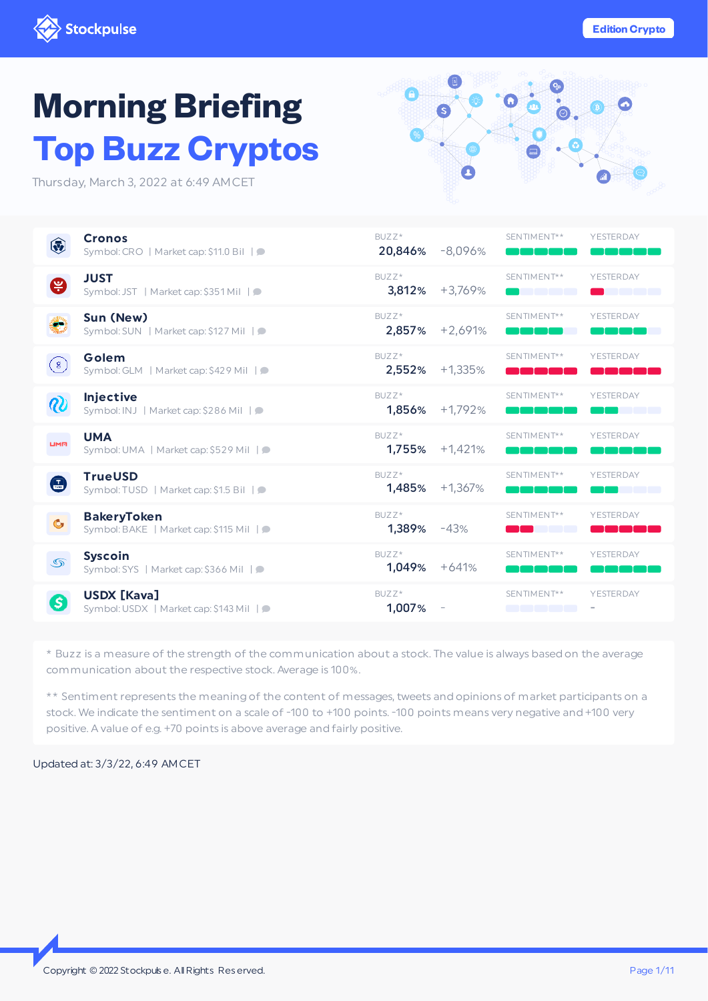

# **Morning Briefing Top** Bu

Thursday, March 3, 2

 $\left( \frac{1}{2} \right)$ 

 $\sqrt{8}$ 

 $\boldsymbol{v}$ 

**LIMR** 

 $\mathbf{G}$ 

 $\bullet$ 

 $\circledcirc$ 

G

**[TrueUSD](#page-6-0)**

**[Syscoin](#page-7-0)**

**[BakeryToken](#page-6-1)**

**USDX [\[Kava\]](#page-8-0)**

Symbol: TUSD | Market cap: \$1.5 Bil |  $\bullet$ 

Symbol: BAKE | Market cap: \$115 Mil |

Symbol: SYS | Market cap: \$366 Mil | ●

Symbol: USDX | Market cap: \$143 Mil |  $\bullet$ 

| <b>o Buzz Cryptos</b><br>, March 3, 2022 at 6:49 AMCET      |                 |                     |             |           |
|-------------------------------------------------------------|-----------------|---------------------|-------------|-----------|
| <b>Cronos</b><br>Symbol: CRO   Market cap: \$11.0 Bil   O   | BUZZ*           | 20,846% -8,096%     | SENTIMENT** | YESTERDAY |
| <b>JUST</b><br>Symbol: JST   Market cap: \$351 Mil   0      | BUZZ*           | $3,812\% + 3,769\%$ | SENTIMENT** | YESTERDAY |
| Sun (New)<br>Symbol: SUN   Market cap: \$127 Mil   O        | BUZZ*<br>2,857% | $+2,691%$           | SENTIMENT** | YESTERDAY |
| Golem<br>Symbol: GLM   Market cap: \$429 Mil   O            | BUZZ*           | 2,552% +1,335%      | SENTIMENT** | YESTERDAY |
| <b>Injective</b><br>Symbol: INJ   Market cap: \$286 Mil   ● | BUZZ*           | $1,856\%$ +1,792%   | SENTIMENT** | YESTERDAY |
| <b>UMA</b><br>Symbol: UMA   Market cap: \$529 Mil   ●       | BUZZ*<br>1,755% | $+1,421%$           | SENTIMENT** | YESTERDAY |

BUZZ\*

BUZZ\*

BUZZ\*

BUZZ\* 1,007% -

1,485% +1,367%

1,389% -43%

1,049% +641%

SENTIMENT\*\* YESTERDAY

SENTIMENT\*\* YESTERDAY

SENTIMENT\*\* YESTERDAY

man man

SENTIMENT\*\* YESTERDAY

-

\* Buzz is a measure of the strength of the communication about a stock. The value is always based on the average communication about the respective stock. Average is 100%.

\*\* Sentiment represents the meaning of the content of messages, tweets and opinions of market participants on a stock. We indicate the sentiment on a scale of -100 to +100 points. -100 points means very negative and +100 very positive. A value of e.g. +70 points is above average and fairly positive.

Updated at: 3/3/22, 6:49 AMCET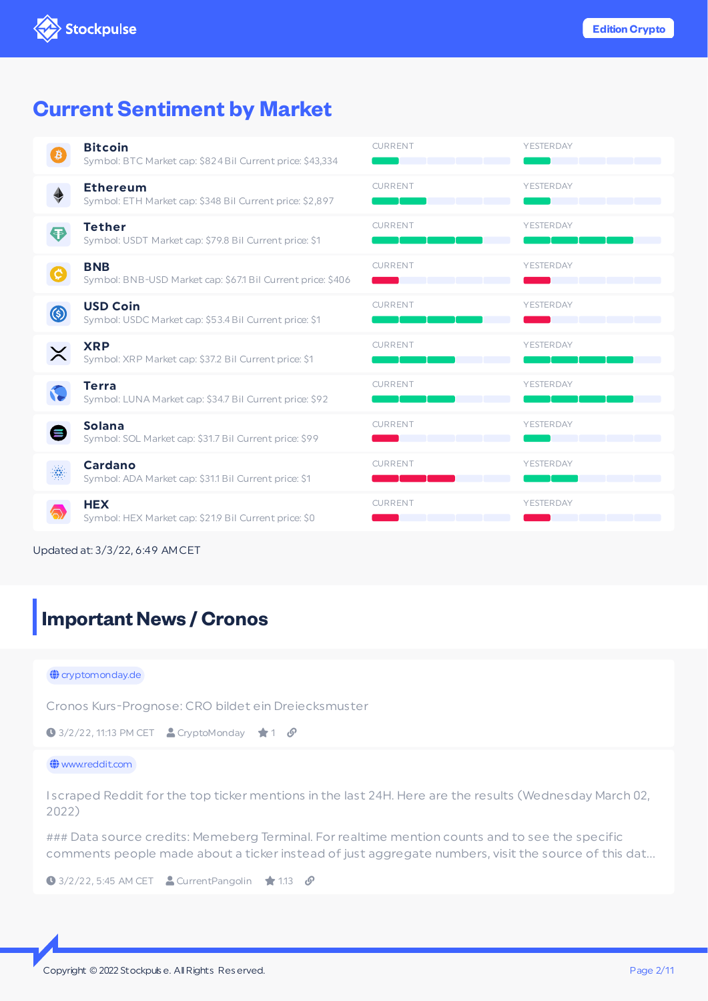## **Current Sentiment by Market**

|      | <b>Bitcoin</b><br>Symbol: BTC Market cap: \$824 Bil Current price: \$43,334 | <b>CURRENT</b> | YESTERDAY |
|------|-----------------------------------------------------------------------------|----------------|-----------|
|      | <b>Ethereum</b><br>Symbol: ETH Market cap: \$348 Bil Current price: \$2,897 | <b>CURRENT</b> | YESTERDAY |
|      | <b>Tether</b><br>Symbol: USDT Market cap: \$79.8 Bil Current price: \$1     | <b>CURRENT</b> | YESTERDAY |
|      | <b>BNB</b><br>Symbol: BNB-USD Market cap: \$67.1 Bil Current price: \$406   | <b>CURRENT</b> | YESTERDAY |
| (\$) | <b>USD Coin</b><br>Symbol: USDC Market cap: \$53.4 Bil Current price: \$1   | <b>CURRENT</b> | YESTERDAY |
|      | <b>XRP</b><br>Symbol: XRP Market cap: \$37.2 Bil Current price: \$1         | <b>CURRENT</b> | YESTERDAY |
|      | <b>Terra</b><br>Symbol: LUNA Market cap: \$34.7 Bil Current price: \$92     | <b>CURRENT</b> | YESTERDAY |
|      | <b>Solana</b><br>Symbol: SOL Market cap: \$31.7 Bil Current price: \$99     | <b>CURRENT</b> | YESTERDAY |
|      | Cardano<br>Symbol: ADA Market cap: \$31.1 Bil Current price: \$1            | <b>CURRENT</b> | YESTERDAY |
|      | <b>HEX</b><br>Symbol: HEX Market cap: \$21.9 Bil Current price: \$0         | <b>CURRENT</b> | YESTERDAY |

Updated at: 3/3/22, 6:49 AMCET

## <span id="page-1-0"></span>**Important News / Cronos**

#### $\bigoplus$  cryptomonday.de

Cronos Kurs-Prognose: CRO bildet ein Dreiecksmuster

```
\bigcirc 3/2/22, 11:13 PM CET \bigcirc CryptoMonday \bigstar 1 \bigcirc
```
#### $\bigoplus$  www.reddit.com

I scraped Reddit for the top ticker mentions in the last 24H. Here are the results (Wednesday March 02, 2022)

### Data source credits: Memeberg Terminal. For realtime mention counts and to see the specific comments people made about a ticker instead of just aggregate numbers, visit the source of this dat…

 $\bigcirc$  3/2/22, 5:45 AM CET  $\bigcirc$  Current Pangolin  $\bigcirc$  1.13  $\bigcirc$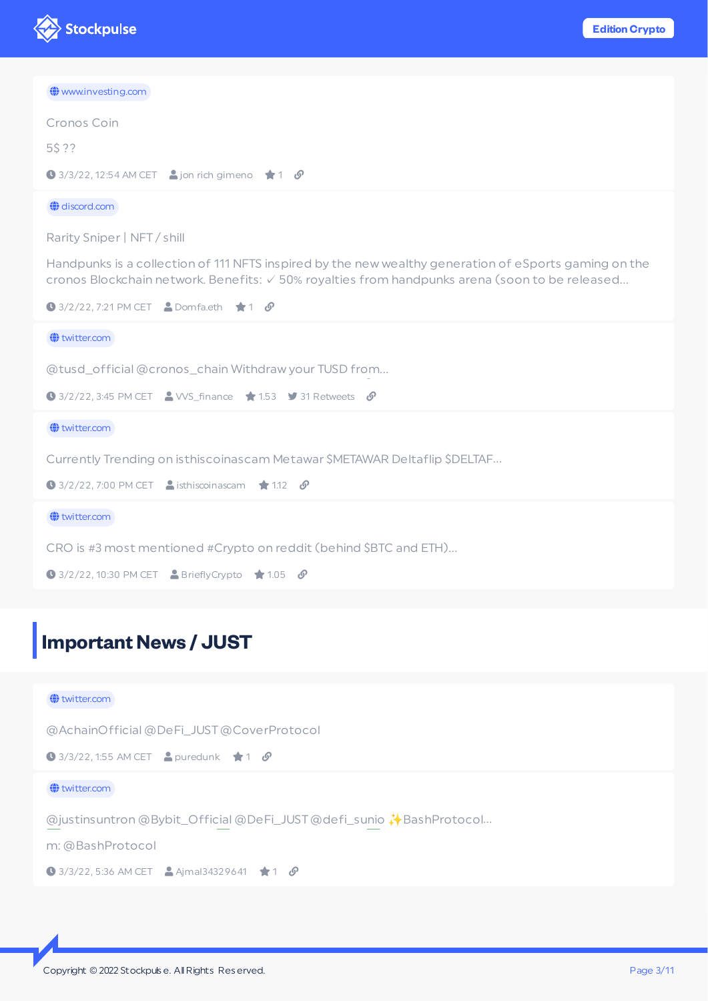

| www.investing.com                                                                                                                                                                                       |
|---------------------------------------------------------------------------------------------------------------------------------------------------------------------------------------------------------|
| Cronos Coin                                                                                                                                                                                             |
| 5\$ ??                                                                                                                                                                                                  |
| $\bigcirc$ 3/3/22, 12:54 AM CET $\bigcirc$ jon rich gimeno $\bigstar$ 1 $\mathcal{S}$                                                                                                                   |
| $\bigoplus$ discord.com                                                                                                                                                                                 |
| Rarity Sniper   NFT / shill                                                                                                                                                                             |
| Handpunks is a collection of 111 NFTS inspired by the new wealthy generation of eSports gaming on the<br>cronos Blockchain network. Benefits: √ 50% royalties from handpunks arena (soon to be released |
| $\bullet$ 3/2/22, 7:21 PM CET $\bullet$ Domfa.eth $\star$ 1 $\bullet$                                                                                                                                   |
| $\bigoplus$ twitter.com                                                                                                                                                                                 |
| @tusd_official@cronos_chain Withdraw your TUSD from                                                                                                                                                     |
| $\bigcirc$ 3/2/22, 3:45 PM CET $\bigcirc$ VVS_finance $\bigstar$ 1.53 $\bigcirc$ 31 Retweets $\bigcirc$                                                                                                 |
| $\bigoplus$ twitter.com                                                                                                                                                                                 |
| Currently Trending on isthiscoinascam Metawar \$METAWAR Deltaflip \$DELTAF                                                                                                                              |
| $\bigcirc$ 3/2/22, 7:00 PM CET $\bigcirc$ isthiscoinascam $\bigcirc$ 1.12 $\bigcirc$                                                                                                                    |
| witter.com                                                                                                                                                                                              |
| CRO is #3 most mentioned #Crypto on reddit (behind \$BTC and ETH)                                                                                                                                       |
| $\bigcirc$ 3/2/22, 10:30 PM CET $\bigcirc$ BrieflyCrypto $\bigcirc$ 1.05 $\bigcirc$                                                                                                                     |
|                                                                                                                                                                                                         |
|                                                                                                                                                                                                         |

# <span id="page-2-0"></span>**Important News / JUST**

### $\bigoplus$  twitter.com

@AchainOfficial @DeFi\_JUST@CoverProtocol

 $\bigcirc$  3/3/22, 1:55 AM CET  $\bigcirc$  puredunk  $\bigcirc$  1  $\bigcirc$ 

### $\bigoplus$  twitter.com

@justinsuntron @Bybit\_Official @DeFi\_JUST@defi\_sunio ✨BashProtocol…

✅ ✅ ✅ m: @BashProtocol

 $\bigcirc$  3/3/22, 5:36 AM CET **A** Ajmal34329641 **1**  $\bigcirc$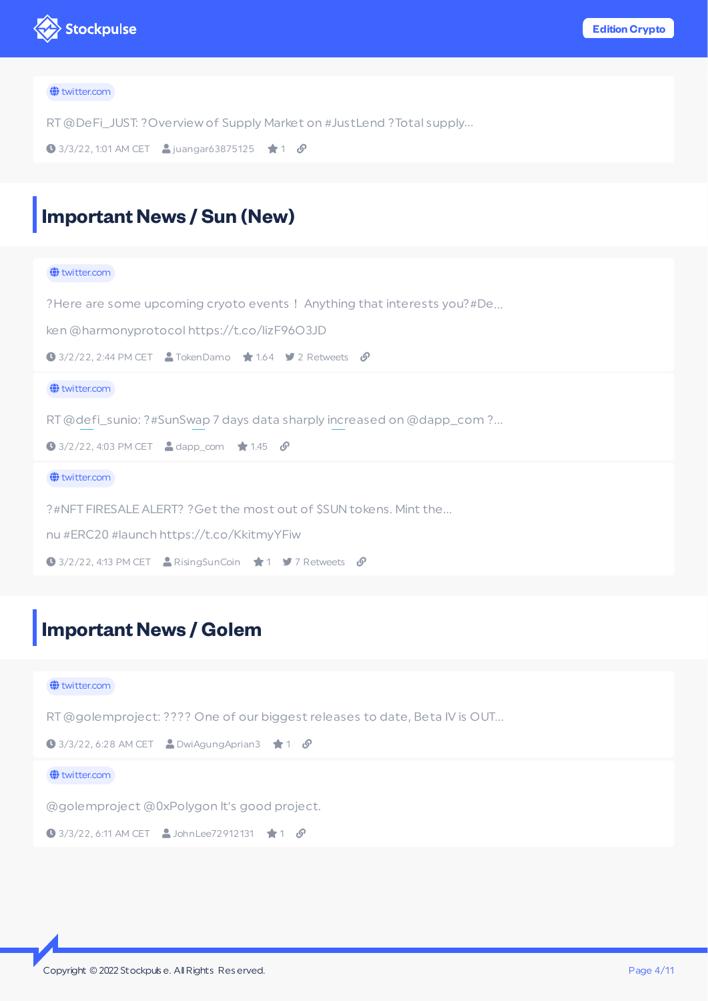

#### the twitter.com

RT@DeFi\_JUST: ?Overview of Supply Market on #JustLend ?Total supply…

```
\bigcirc 3/3/22, 1:01 AM CET \bigcirc juangar63875125 \bigcirc 1 \bigcirc
```
## <span id="page-3-0"></span>**Important News / Sun (New)**

## $\bigoplus$  twitter.com ?Here are some upcoming cryoto events ! Anything that interests you?#De... ken @harmonyprotocol https://t.co/lizF96O3JD  $\bigcirc$  3/2/22, 2:44 PM CET  $\bigcirc$  TokenDamo  $\bigstar$  1.64  $\bigstar$  2 Retweets  $\bigcirc$  $\bigoplus$  twitter.com RT@defi\_sunio: ?️#SunSwap 7 days data sharply increased on @dapp\_com ?…  $\bigcirc$  3/2/22, 4:03 PM CET  $\bigcirc$  dapp\_com  $\bigstar$  1.45  $\bigcirc$  $\bigoplus$  twitter.com ?#NFT FIRESALE ALERT? ?Get the most out of \$SUN tokens. Mint the… nu #ERC20 #launch https://t.co/KkitmyYFiw  $\bigcirc$  3/2/22, 4:13 PM CET **A** RisingSunCoin  $\bigstar$  1 **9** 7 Retweets  $\bigcirc$

## <span id="page-3-1"></span>**Important News / Golem**

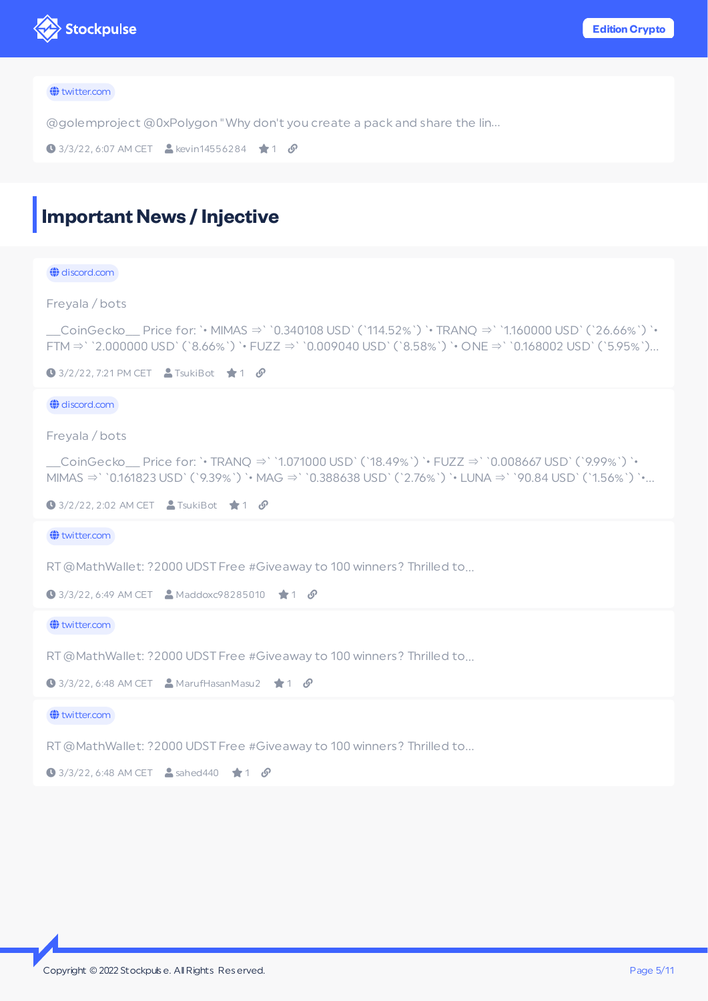

#### the twitter.com

@golemproject @0xPolygon "Why don't you create a pack and share the lin…

```
\bigcirc 3/3/22, 6:07 AM CET \bigcirc kevin14556284 \bigcirc 1 \bigcirc
```
## <span id="page-4-0"></span>**Important News / Injective**

#### $\bigoplus$  discord.com

Freyala / bots

\_\_CoinGecko\_\_ Price for: `• MIMAS ⇒` `0.340108 USD` (`114.52%`) `• TRANQ ⇒` `1.160000 USD` (`26.66%`) `• FTM⇒` `2.000000 USD` (`8.66%`) `• FUZZ ⇒` `0.009040 USD` (`8.58%`) `• ONE ⇒` `0.168002 USD` (`5.95%`)…

 $\bigcirc$  3/2/22, 7:21 PM CET  $\bigcirc$  TsukiBot  $\bigcirc$  1  $\bigcirc$ 

#### $\bigoplus$  discord.com

Freyala / bots

\_\_CoinGecko\_\_ Price for: `• TRANQ ⇒` `1.071000 USD` (`18.49%`) `• FUZZ ⇒` `0.008667 USD` (`9.99%`) `• MIMAS ⇒` `0.161823 USD` (`9.39%`) `• MAG ⇒` `0.388638 USD` (`2.76%`) `• LUNA ⇒` `90.84 USD` (`1.56%`) `•…

```
\bigcirc 3/2/22, 2:02 AM CET \bigcirc TsukiBot \bigcirc 1 \mathscr O
```
**<sup>←</sup>**twitter.com

RT@MathWallet: ?2000 UDST Free #Giveaway to 100 winners? Thrilled to…

```
\bigcirc 3/3/22, 6:49 AM CET \bigcirc Maddoxc98285010 \bigcirc 1 \mathcal{S}
```
 $\bigoplus$  twitter.com

RT@MathWallet: ?2000 UDST Free #Giveaway to 100 winners? Thrilled to…

 $\bigcirc$  3/3/22, 6:48 AM CET  $\bigcirc$  MarufHasanMasu2  $\bigcirc$  1  $\bigcirc$ 

 $\bigoplus$  twitter.com

RT@MathWallet: ?2000 UDST Free #Giveaway to 100 winners? Thrilled to…

 $\bigcirc$  3/3/22, 6:48 AM CET  $\bigcirc$  sahed440  $\bigcirc$  1  $\mathcal{O}$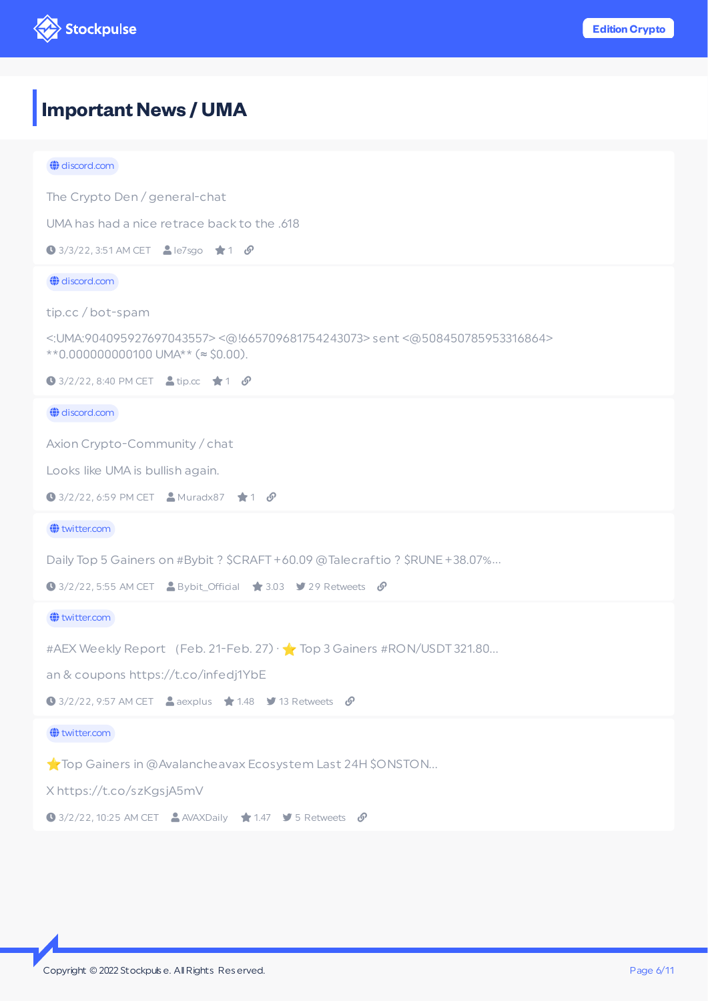

# <span id="page-5-0"></span>**ImportantNews / UMA**

| $\bigoplus$ discord.com                                                                                                  |
|--------------------------------------------------------------------------------------------------------------------------|
| The Crypto Den / general-chat                                                                                            |
| UMA has had a nice retrace back to the .618                                                                              |
| <b>0</b> 3/3/22, 3:51 AM CET <b>A</b> le7sgo ★ 1 $\mathcal{S}$                                                           |
| $\bigoplus$ discord.com                                                                                                  |
| tip.cc/bot-spam                                                                                                          |
| <: UMA:904095927697043557><@!665709681754243073>sent<@508450785953316864><br>**0.000000000100 UMA** ( $\approx$ \$0.00). |
| <b>0</b> 3/2/22, 8:40 PM CET <b>a</b> tip.cc $\star$ 1 <b><math>\mathcal{S}</math></b>                                   |
| $\bigoplus$ discord.com                                                                                                  |
| Axion Crypto-Community / chat                                                                                            |
| Looks like UMA is bullish again.                                                                                         |
| <b>●</b> 3/2/22, 6:59 PM CET <b>A</b> Muradx87 <b>★</b> 1 $\mathcal{S}$                                                  |
| witter.com                                                                                                               |
| Daily Top 5 Gainers on #Bybit ? \$CRAFT +60.09 @Talecraftio ? \$RUNE +38.07%                                             |
|                                                                                                                          |
| <b>●</b> 3/2/22, 5:55 AM CET <b>A</b> Bybit_Official <b>★</b> 3.03 <b>9</b> 29 Retweets <b><math>\mathcal{S}</math></b>  |
| witter.com                                                                                                               |
| #AEX Weekly Report (Feb. 21-Feb. 27) $\sqrt{ }$ Top 3 Gainers #RON/USDT 321.80                                           |
| an & coupons https://t.co/infedj1YbE                                                                                     |
| $\bigcirc$ 3/2/22, 9:57 AM CET $\bigcirc$ aexplus $\bigstar$ 1.48 $\bigcirc$ 13 Retweets $\bigcirc$                      |
| witter.com                                                                                                               |
| Top Gainers in @Avalancheavax Ecosystem Last 24H \$ONSTON                                                                |
| X https://t.co/szKgsjA5mV                                                                                                |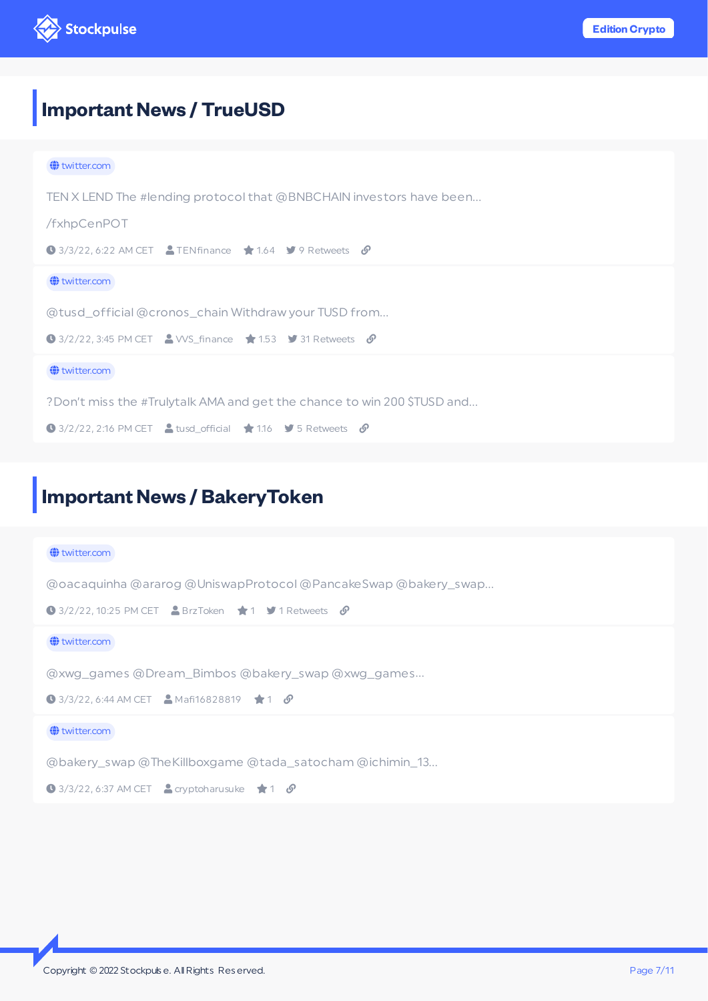

# <span id="page-6-0"></span>**Important News / TrueUSD**

| $\bigoplus$ twitter.com                                                                                  |
|----------------------------------------------------------------------------------------------------------|
| TEN X LEND The #lending protocol that @BNBCHAIN investors have been                                      |
| /fxhpCenPOT                                                                                              |
| $\bigcirc$ 3/3/22, 6:22 AM CET $\bigcirc$ TENfinance $\bigcirc$ 1.64 $\bigcirc$ 9 Retweets $\bigcirc$    |
| $\bigoplus$ twitter.com                                                                                  |
| @tusd_official@cronos_chainWithdrawyourTUSDfrom                                                          |
| $\bigcirc$ 3/2/22, 3:45 PM CET $\bigcirc$ WS_finance $\bigstar$ 1.53 $\bigcirc$ 31 Retweets $\bigcirc$   |
| $\bigoplus$ twitter.com                                                                                  |
| ?Don't miss the #Trulytalk AMA and get the chance to win 200 \$TUSD and                                  |
| $\bigcirc$ 3/2/22, 2:16 PM CET $\bigcirc$ tusd_official $\bigcirc$ 1.16 $\bigcirc$ 5 Retweets $\bigcirc$ |

# <span id="page-6-1"></span>**Important News / BakeryToken**

| $\bigoplus$ twitter.com                                                                           |
|---------------------------------------------------------------------------------------------------|
| @oacaquinha @ararog @UniswapProtocol @PancakeSwap @bakery_swap                                    |
| $\bigcirc$ 3/2/22, 10:25 PM CET $\bigcirc$ BrzToken $\bigcirc$ 1 $\bigcirc$ 1 Retweets $\bigcirc$ |
| $\bigoplus$ twitter.com                                                                           |
| @xwg_games @Dream_Bimbos @bakery_swap @xwg_games                                                  |
| <b>0</b> 3/3/22, 6:44 AM CET <b>A</b> Mafi16828819 <b>1</b> 0                                     |
| $\bigoplus$ twitter.com                                                                           |
| @bakery_swap @TheKillboxgame @tada_satocham @ichimin_13                                           |
| $\bigcirc$ 3/3/22, 6:37 AM CET $\bigcirc$ cryptoharusuke $\bigcirc$ 1 $\bigcirc$                  |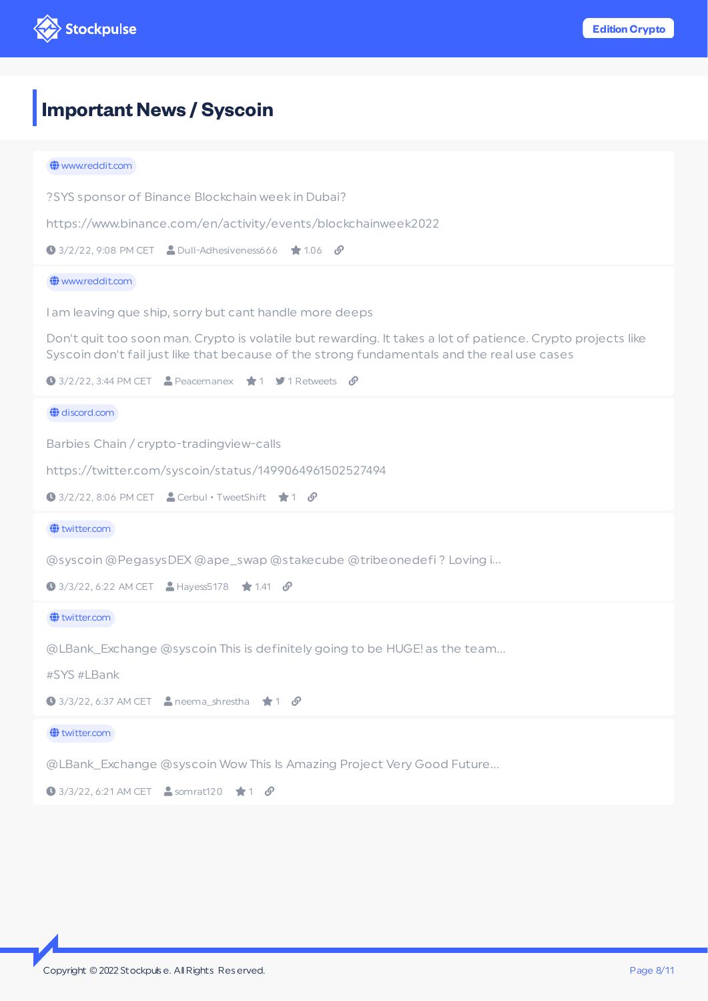

## <span id="page-7-0"></span>**Important News / Syscoin**

## the www.reddit.com ?SYS sponsor of Binance Blockchain week in Dubai? https://www.binance.com/en/activity/events/blockchainweek2022  $\bigcirc$  3/2/22, 9:08 PM CET  $\bigcirc$  Dull-Adhesiveness666  $\bigcirc$  1.06  $\bigcirc$  www.reddit.com I am leaving que ship, sorry but cant handle more deeps Don't quit too soon man. Crypto is volatile but rewarding. It takes a lot of patience. Crypto projects like Syscoin don't fail just like that because of the strong fundamentals and the real use cases  $\bigcirc$  3/2/22, 3:44 PM CET **2** Peacemanex  $\bigstar$  1 **5** 1 Retweets  $\mathcal{O}$  $\bigoplus$  discord.com Barbies Chain / crypto-tradingview-calls https://twitter.com/syscoin/status/1499064961502527494  $\bigcirc$  3/2/22, 8:06 PM CET  $\bigcirc$  Cerbul • TweetShift  $\bigcirc$  1  $\bigcirc$  $\bigoplus$  twitter.com @syscoin @PegasysDEX @ape\_swap @stakecube @tribeonedefi ? Loving i…  $\bigcirc$  3/3/22, 6:22 AM CET  $\bigcirc$  Hayess5178  $\bigcirc$  1.41  $\bigcirc$  $\bigoplus$  twitter.com @LBank\_Exchange @syscoin This is definitely going to be HUGE! as the team… #SYS #LBank  $\bigcirc$  3/3/22, 6:37 AM CET  $\bigcirc$  neema\_shrestha  $\bigstar$  1  $\mathcal O$  $\bigoplus$  twitter.com @LBank\_Exchange @syscoin Wow This Is Amazing Project Very Good Future…  $\bigcirc$  3/3/22, 6:21 AM CET  $\bigcirc$  somrat120  $\bigstar$  1  $\mathcal{S}$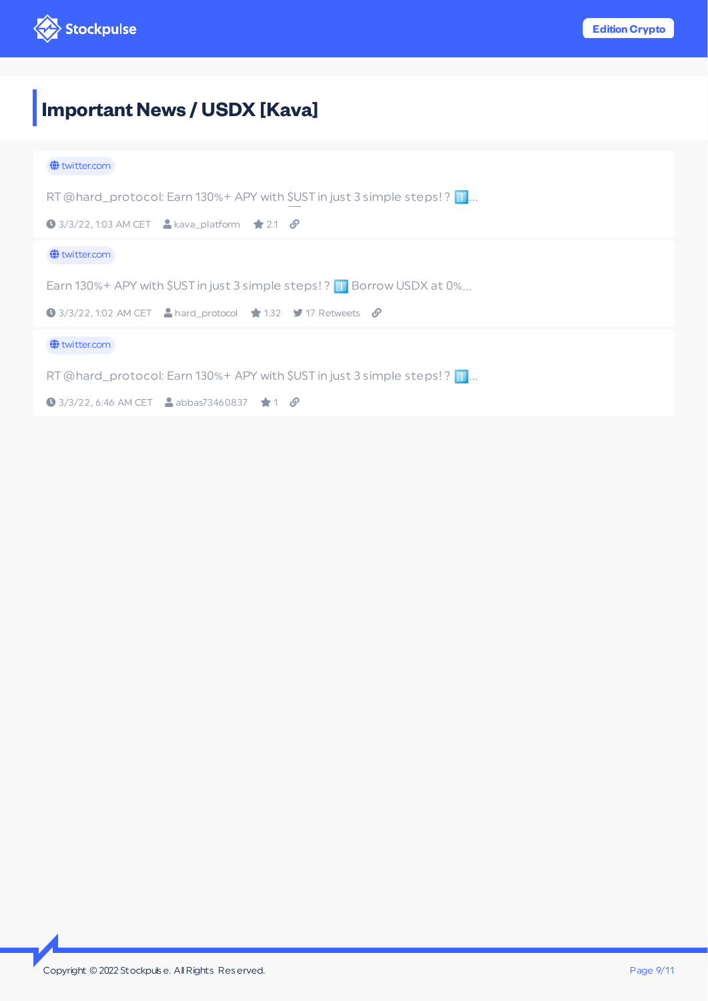

# <span id="page-8-0"></span>**ImportantNews / USDX [Kava]**

| $\bigoplus$ twitter.com                                                                          |
|--------------------------------------------------------------------------------------------------|
| RT @hard_protocol: Earn 130%+ APY with \$UST in just 3 simple steps!? 1                          |
| $\bigcirc$ 3/3/22, 1:03 AM CET A kava_platform $\bigcirc$ 2.1 $\bigcirc$                         |
| $\bigoplus$ twitter.com                                                                          |
| Earn 130%+ APY with \$UST in just 3 simple steps!? 1 Borrow USDX at 0%                           |
| $\bigcirc$ 3/3/22, 1:02 AM CET A hard_protocol $\bigstar$ 1.32 $\bigstar$ 17 Retweets $\bigcirc$ |
| $\bigoplus$ twitter.com                                                                          |
| RT @hard_protocol: Earn 130%+ APY with \$UST in just 3 simple steps! ? 1                         |
| <b>0</b> 3/3/22, 6:46 AM CET <b>A</b> abbas73460837 <b>1</b> 0                                   |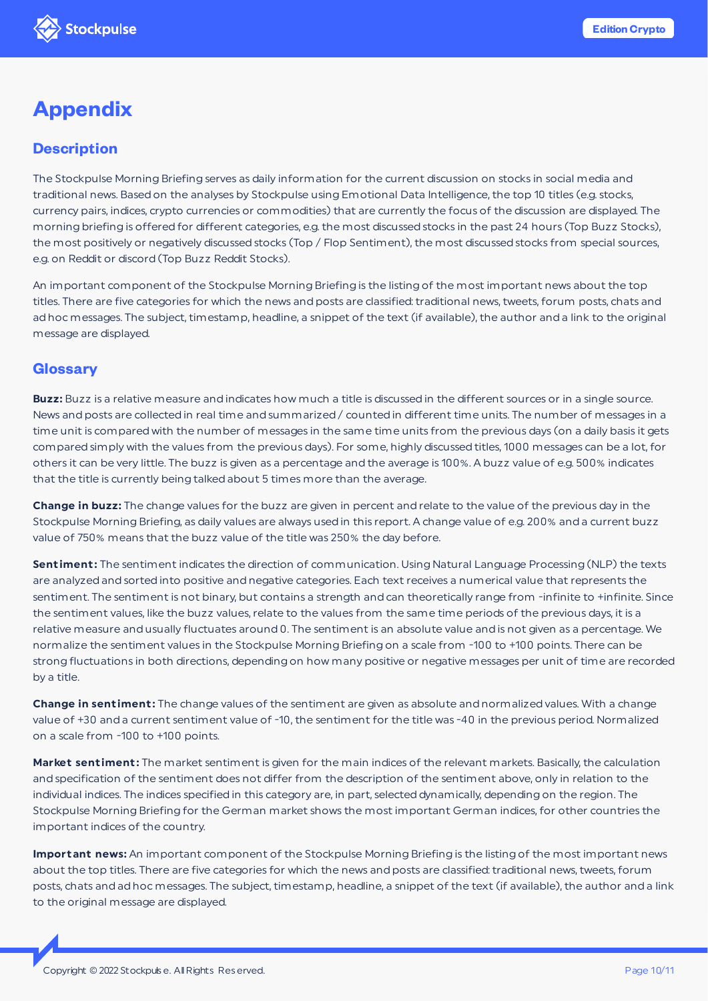## **Appendix**

## **Description**

The Stockpulse Morning Briefing serves as daily information for the current discussion on stocks in social media and traditional news. Based on the analyses by Stockpulse using Emotional Data Intelligence, the top 10 titles (e.g. stocks, currency pairs, indices, crypto currencies or commodities) that are currently the focus of the discussion are displayed. The morning briefing is offered for different categories, e.g. the most discussed stocks in the past 24 hours (Top Buzz Stocks), the most positively or negatively discussed stocks (Top / Flop Sentiment), the most discussed stocks from special sources, e.g. on Reddit or discord (Top Buzz Reddit Stocks).

An important component of the Stockpulse Morning Briefing is the listing of the most important news about the top titles. There are five categories for which the news and posts are classified: traditional news, tweets, forum posts, chats and ad hoc messages. The subject, timestamp, headline, a snippet of the text (if available), the author and a link to the original message are displayed.

## **Glossary**

**Buzz:** Buzz is a relative measure and indicates how much a title is discussed in the different sources or in a single source. News and posts are collected in real time and summarized / counted in different time units. The number of messages in a time unit is compared with the number of messages in the same time units from the previous days (on a daily basis it gets compared simply with the values from the previous days). For some, highly discussed titles, 1000 messages can be a lot, for others it can be very little. The buzz is given as a percentage and the average is 100%. A buzz value of e.g. 500% indicates that the title is currently being talked about 5 times more than the average.

**Change in buzz:** The change values for the buzz are given in percent and relate to the value of the previous day in the Stockpulse Morning Briefing, as daily values are always used in this report. A change value of e.g. 200% and a current buzz value of 750% means that the buzz value of the title was 250% the day before.

**Sent iment :** The sentiment indicates the direction of communication. Using Natural Language Processing (NLP) the texts are analyzed and sorted into positive and negative categories. Each text receives a numerical value that represents the sentiment. The sentiment is not binary, but contains a strength and can theoretically range from -infinite to +infinite. Since the sentiment values, like the buzz values, relate to the values from the same time periods of the previous days, it is a relative measure and usually fluctuates around 0. The sentiment is an absolute value and is not given as a percentage. We normalize the sentiment values in the Stockpulse Morning Briefing on a scale from -100 to +100 points. There can be strong fluctuations in both directions, depending on how many positive or negative messages per unit of time are recorded by a title.

**Change in sent iment :** The change values of the sentiment are given as absolute and normalized values. With a change value of +30 and a current sentiment value of -10, the sentiment for the title was -40 in the previous period. Normalized on a scale from -100 to +100 points.

**Market sentiment:** The market sentiment is given for the main indices of the relevant markets. Basically, the calculation and specification of the sentiment does not differ from the description of the sentiment above, only in relation to the individual indices. The indices specified in this category are, in part, selected dynamically, depending on the region. The Stockpulse Morning Briefing for the German market shows the most important German indices, for other countries the important indices of the country.

**Important news:** An important component of the Stockpulse Morning Briefing is the listing of the most important news about the top titles. There are five categories for which the news and posts are classified: traditional news, tweets, forum posts, chats and ad hoc messages. The subject, timestamp, headline, a snippet of the text (if available), the author and a link to the original message are displayed.